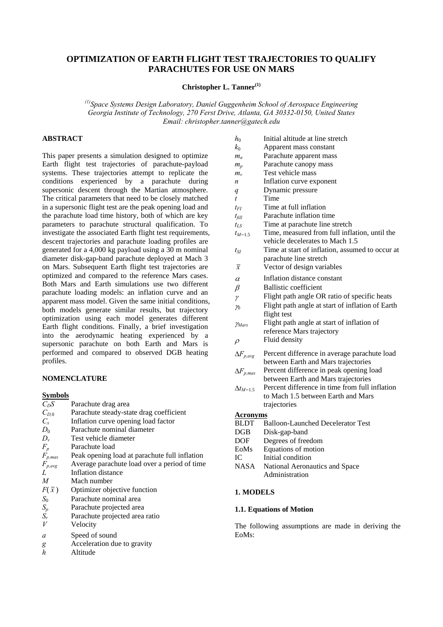# **OPTIMIZATION OF EARTH FLIGHT TEST TRAJECTORIES TO QUALIFY PARACHUTES FOR USE ON MARS**

## **Christopher L. Tanner**<sup>(1)</sup>

*(1)Space Systems Design Laboratory, Daniel Guggenheim School of Aerospace Engineering Georgia Institute of Technology, 270 Ferst Drive, Atlanta, GA 30332-0150, United States Email: christopher.tanner@gatech.edu* 

## **ABSTRACT**

This paper presents a simulation designed to optimize Earth flight test trajectories of parachute-payload systems. These trajectories attempt to replicate the conditions experienced by a parachute during supersonic descent through the Martian atmosphere. The critical parameters that need to be closely matched in a supersonic flight test are the peak opening load and the parachute load time history, both of which are key parameters to parachute structural qualification. To investigate the associated Earth flight test requirements, descent trajectories and parachute loading profiles are generated for a 4,000 kg payload using a 30 m nominal diameter disk-gap-band parachute deployed at Mach 3 on Mars. Subsequent Earth flight test trajectories are optimized and compared to the reference Mars cases. Both Mars and Earth simulations use two different parachute loading models: an inflation curve and an apparent mass model. Given the same initial conditions, both models generate similar results, but trajectory optimization using each model generates different Earth flight conditions. Finally, a brief investigation into the aerodynamic heating experienced by a supersonic parachute on both Earth and Mars is performed and compared to observed DGB heating profiles.

## **NOMENCLATURE**

## **Symbols**

| $C_D S$      | Parachute drag area                           |
|--------------|-----------------------------------------------|
| $C_{D,0}$    | Parachute steady-state drag coefficient       |
| $C_{x}$      | Inflation curve opening load factor           |
| $D_0$        | Parachute nominal diameter                    |
| $D_{\nu}$    | Test vehicle diameter                         |
| $F_p$        | Parachute load                                |
| $F_{p,max}$  | Peak opening load at parachute full inflation |
| $F_{p,avg}$  | Average parachute load over a period of time  |
| L            | Inflation distance                            |
| M            | Mach number                                   |
| $F(\bar{x})$ | Optimizer objective function                  |
| $S_0$        | Parachute nominal area                        |
| $S_p$        | Parachute projected area                      |
| $S_r$        | Parachute projected area ratio                |
| V            | Velocity                                      |
| a            | Speed of sound                                |
| g            | Acceleration due to gravity                   |
| h            | Altitude                                      |

| $h_0$              | Initial altitude at line stretch                                                 |
|--------------------|----------------------------------------------------------------------------------|
| $k_0$              | Apparent mass constant                                                           |
| $m_a$              | Parachute apparent mass                                                          |
| $m_p$              | Parachute canopy mass                                                            |
| $m_{v}$            | Test vehicle mass                                                                |
| n                  | Inflation curve exponent                                                         |
| q                  | Dynamic pressure                                                                 |
| $\boldsymbol{t}$   | Time                                                                             |
| $t_{FI}$           | Time at full inflation                                                           |
| $t_{fill}$         | Parachute inflation time                                                         |
| $t_{LS}$           | Time at parachute line stretch                                                   |
| $t_{M=1.5}$        | Time, measured from full inflation, until the<br>vehicle decelerates to Mach 1.5 |
| $t_{SI}$           | Time at start of inflation, assumed to occur at<br>parachute line stretch        |
| $\overline{x}$     | Vector of design variables                                                       |
| $\alpha$           | Inflation distance constant                                                      |
| $\beta$            | <b>Ballistic coefficient</b>                                                     |
| γ                  | Flight path angle OR ratio of specific heats                                     |
| $\gamma_0$         | Flight path angle at start of inflation of Earth                                 |
|                    | flight test                                                                      |
| YMars              | Flight path angle at start of inflation of                                       |
|                    | reference Mars trajectory                                                        |
| $\rho$             | Fluid density                                                                    |
| $\Delta F_{p,avg}$ | Percent difference in average parachute load                                     |
|                    | between Earth and Mars trajectories                                              |
| $\Delta F_{p,max}$ | Percent difference in peak opening load                                          |
|                    | between Earth and Mars trajectories                                              |
| $\Delta t_{M=1.5}$ | Percent difference in time from full inflation                                   |
|                    | to Mach 1.5 between Earth and Mars                                               |
|                    | trajectories                                                                     |
| <b>Acronyms</b>    |                                                                                  |
| <b>BLDT</b>        | <b>Balloon-Launched Decelerator Test</b>                                         |
| DGB                | Disk-gap-band                                                                    |
| DOF                | Degrees of freedom                                                               |
| EoMs               | Equations of motion                                                              |
| IC.                | Initial condition                                                                |
| <b>NASA</b>        | National Aeronautics and Space                                                   |
|                    | Administration                                                                   |
|                    |                                                                                  |
| <b>1. MODELS</b>   |                                                                                  |

## **1.1. Equations of Motion**

The following assumptions are made in deriving the EoMs: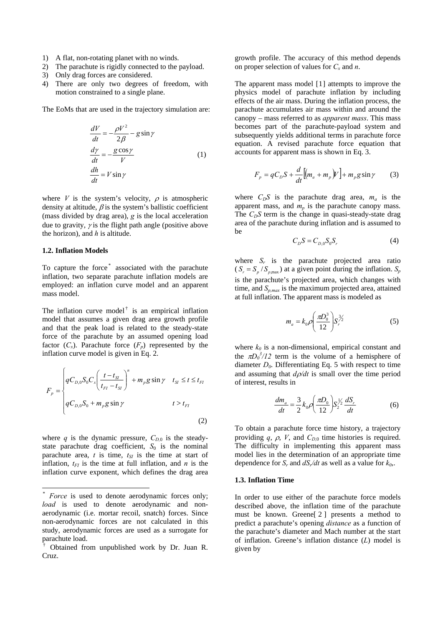- 1) A flat, non-rotating planet with no winds.
- 2) The parachute is rigidly connected to the payload.
- 3) Only drag forces are considered.
- 4) There are only two degrees of freedom, with motion constrained to a single plane.

The EoMs that are used in the trajectory simulation are:

$$
\frac{dV}{dt} = -\frac{\rho V^2}{2\beta} - g\sin\gamma
$$
  

$$
\frac{dy}{dt} = -\frac{g\cos\gamma}{V}
$$
  

$$
\frac{dh}{dt} = V\sin\gamma
$$
 (1)

where *V* is the system's velocity,  $\rho$  is atmospheric density at altitude,  $\beta$  is the system's ballistic coefficient (mass divided by drag area), *g* is the local acceleration due to gravity,  $\gamma$  is the flight path angle (positive above the horizon), and *h* is altitude.

## **1.2. Inflation Models**

l

To capture the force<sup>[\\*](#page-1-0)</sup> associated with the parachute inflation, two separate parachute inflation models are employed: an inflation curve model and an apparent mass model.

The inflation curve model<sup> $\dagger$ </sup> is an empirical inflation model that assumes a given drag area growth profile and that the peak load is related to the steady-state force of the parachute by an assumed opening load factor  $(C_x)$ . Parachute force  $(F_p)$  represented by the inflation curve model is given in Eq. 2.

$$
F_p = \begin{cases} qC_{D,0}S_0C_x \left(\frac{t - t_{SI}}{t_{FI} - t_{SI}}\right)^n + m_p g \sin \gamma & t_{SI} \le t \le t_{FI} \\ qC_{D,0}S_0 + m_p g \sin \gamma & t > t_{FI} \end{cases}
$$
(2)

where *q* is the dynamic pressure,  $C_{D,0}$  is the steadystate parachute drag coefficient,  $S_0$  is the nominal parachute area,  $t$  is time,  $t_{SI}$  is the time at start of inflation,  $t_{FI}$  is the time at full inflation, and *n* is the inflation curve exponent, which defines the drag area growth profile. The accuracy of this method depends on proper selection of values for *Cx* and *n*.

The apparent mass model [[1](#page-7-0)] attempts to improve the physics model of parachute inflation by including effects of the air mass. During the inflation process, the parachute accumulates air mass within and around the canopy – mass referred to as *apparent mass*. This mass becomes part of the parachute-payload system and subsequently vields additional terms in parachute force equation. A revised parachute force equation that accounts for apparent mass is shown in Eq. 3.

$$
F_p = qC_D S + \frac{d}{dt} [(m_a + m_p) V] + m_p g \sin \gamma \tag{3}
$$

where  $C_D S$  is the parachute drag area,  $m_a$  is the apparent mass, and  $m_p$  is the parachute canopy mass. The  $C<sub>D</sub>S$  term is the change in quasi-steady-state drag area of the parachute during inflation and is assumed to be

$$
C_D S = C_{D,0} S_0 S_r \tag{4}
$$

where  $S_r$  is the parachute projected area ratio  $(S_r = S_p / S_{p, \text{max}})$  at a given point during the inflation.  $S_p$ is the parachute's projected area, which changes with time, and *Sp,max* is the maximum projected area, attained at full inflation. The apparent mass is modeled as

$$
m_a = k_0 \rho \left(\frac{\pi D_0^3}{12}\right) S_r^{\frac{3}{2}} \tag{5}
$$

where  $k_0$  is a non-dimensional, empirical constant and the  $\pi D_0^3/12$  term is the volume of a hemisphere of diameter  $D_0$ . Differentiating Eq. 5 with respect to time and assuming that  $d\rho/dt$  is small over the time period of interest, results in

$$
\frac{dm_a}{dt} = \frac{3}{2} k_0 \rho \left(\frac{\pi D_0}{12}\right) S_2^{\frac{1}{2}} \frac{dS_r}{dt}
$$
 (6)

To obtain a parachute force time history, a trajectory providing *q*,  $\rho$ , *V*, and  $C_{D,0}$  time histories is required. The difficulty in implementing this apparent mass model lies in the determination of an appropriate time dependence for  $S_r$  and  $dS_r/dt$  as well as a value for  $k_0$ .

#### **1.3. Inflation Time**

In order to use either of the parachute force models described above, the inflation time of the parachute must be known. Greene[ [2](#page-7-1) ] presents a method to predict a parachute's opening *distance* as a function of the parachute's diameter and Mach number at the start of inflation. Greene's inflation distance (*L*) model is given by

<span id="page-1-0"></span>*Force* is used to denote aerodynamic forces only; *load* is used to denote aerodynamic and nonaerodynamic (i.e. mortar recoil, snatch) forces. Since non-aerodynamic forces are not calculated in this study, aerodynamic forces are used as a surrogate for parachute load.

<span id="page-1-1"></span><sup>†</sup> Obtained from unpublished work by Dr. Juan R. Cruz.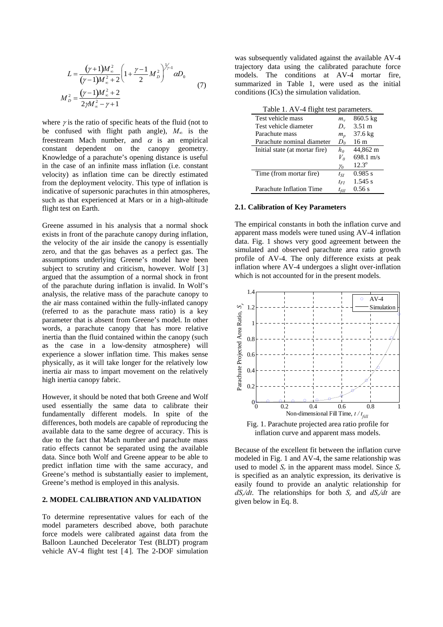$$
L = \frac{(\gamma + 1)M_{\infty}^2}{(\gamma - 1)M_{\infty}^2 + 2} \left(1 + \frac{\gamma - 1}{2}M_D^2\right)^{\frac{1}{\gamma - 1}} \alpha D_0
$$
  

$$
M_D^2 = \frac{(\gamma - 1)M_{\infty}^2 + 2}{2\gamma M_{\infty}^2 - \gamma + 1}
$$
 (7)

<span id="page-2-0"></span>where  $\gamma$  is the ratio of specific heats of the fluid (not to be confused with flight path angle),  $M_{\infty}$  is the freestream Mach number, and  $\alpha$  is an empirical constant dependent on the canopy geometry. Knowledge of a parachute's opening distance is useful in the case of an infinite mass inflation (i.e. constant velocity) as inflation time can be directly estimated from the deployment velocity. This type of inflation is indicative of supersonic parachutes in thin atmospheres, such as that experienced at Mars or in a high-altitude flight test on Earth.

Greene assumed in his analysis that a normal shock exists in front of the parachute canopy during inflation, the velocity of the air inside the canopy is essentially zero, and that the gas behaves as a perfect gas. The assumptions underlying Greene's model have been subject to scrutiny and criticism, however. Wolf [[3](#page-7-1)] argued that the assumption of a normal shock in front of the parachute during inflation is invalid. In Wolf's analysis, the relative mass of the parachute canopy to the air mass contained within the fully-inflated canopy (referred to as the parachute mass ratio) is a key parameter that is absent from Greene's model. In other words, a parachute canopy that has more relative inertia than the fluid contained within the canopy (such as the case in a low-density atmosphere) will experience a slower inflation time. This makes sense physically, as it will take longer for the relatively low inertia air mass to impart movement on the relatively high inertia canopy fabric.

<span id="page-2-1"></span>However, it should be noted that both Greene and Wolf used essentially the same data to calibrate their fundamentally different models. In spite of the differences, both models are capable of reproducing the available data to the same degree of accuracy. This is due to the fact that Mach number and parachute mass ratio effects cannot be separated using the available data. Since both Wolf and Greene appear to be able to predict inflation time with the same accuracy, and Greene's method is substantially easier to implement, Greene's method is employed in this analysis.

## **2. MODEL CALIBRATION AND VALIDATION**

<span id="page-2-2"></span>To determine representative values for each of the model parameters described above, both parachute force models were calibrated against data from the Balloon Launched Decelerator Test (BLDT) program vehicle AV-4 flight test [ [4](#page-7-1) ]. The 2-DOF simulation was subsequently validated against the available AV-4 trajectory data using the calibrated parachute force models. The conditions at AV-4 mortar fire, summarized in [Table 1,](#page-2-0) were used as the initial conditions (ICs) the simulation validation.

| Table 1. AV-4 flight test parameters. |            |                     |  |
|---------------------------------------|------------|---------------------|--|
| Test vehicle mass                     | $m_{\nu}$  | 860.5 kg            |  |
| Test vehicle diameter                 | $D_{\nu}$  | $3.51 \text{ m}$    |  |
| Parachute mass                        | $m_p$      | $37.6 \text{ kg}$   |  |
| Parachute nominal diameter            | $D_0$      | 16 <sub>m</sub>     |  |
| Initial state (at mortar fire)        | $h_0$      | 44,862 m            |  |
|                                       | $V_{0}$    | $698.1 \text{ m/s}$ |  |
|                                       | $\gamma_0$ | $12.3^{\circ}$      |  |
| Time (from mortar fire)               | $t_{SI}$   | 0.985 s             |  |
|                                       | $t_{FI}$   | $1.545$ s           |  |
| Parachute Inflation Time              | $t_{fill}$ | 0.56 s              |  |

## **2.1. Calibration of Key Parameters**

The empirical constants in both the inflation curve and apparent mass models were tuned using AV-4 inflation data. [Fig. 1](#page-2-1) shows very good agreement between the simulated and observed parachute area ratio growth profile of AV-4. The only difference exists at peak inflation where AV-4 undergoes a slight over-inflation which is not accounted for in the present models.



Fig. 1. Parachute projected area ratio profile for inflation curve and apparent mass models.

Because of the excellent fit between the inflation curve modeled in [Fig. 1](#page-2-1) and AV-4, the same relationship was used to model  $S_r$  in the apparent mass model. Since  $S_r$ is specified as an analytic expression, its derivative is easily found to provide an analytic relationship for *dSr/dt*. The relationships for both *Sr* and *dSr/dt* are given below in Eq. 8.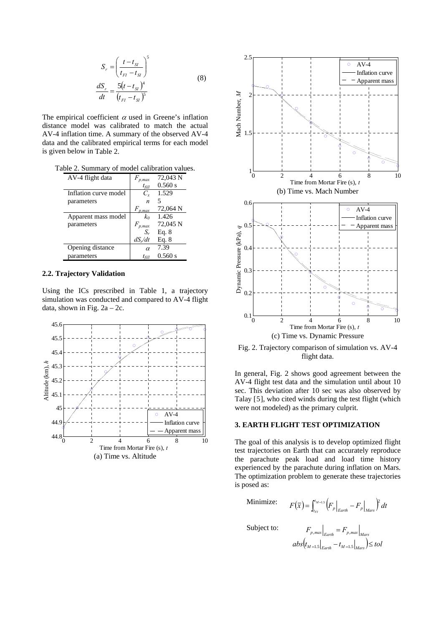$$
S_r = \left(\frac{t - t_{SI}}{t_{FI} - t_{SI}}\right)^5
$$
  
\n
$$
\frac{dS_r}{dt} = \frac{5(t - t_{SI})^4}{(t_{FI} - t_{SI})^5}
$$
\n(8)

The empirical coefficient  $\alpha$  used in Greene's inflation distance model was calibrated to match the actual AV-4 inflation time. A summary of the observed AV-4 data and the calibrated empirical terms for each model is given below in [Table 2](#page-3-0).

<span id="page-3-0"></span>Table 2. Summary of model calibration values.

| AV-4 flight data      | p.max               | 72,043 N |
|-----------------------|---------------------|----------|
|                       | $t_{\mathit{fill}}$ | 0.560 s  |
| Inflation curve model | $C_{\rm r}$         | 1.529    |
| parameters            | n                   | 5        |
|                       | $F_{p,max}$         | 72,064 N |
| Apparent mass model   | $k_0$               | 1.426    |
| parameters            | $F_{p,max}$         | 72,045 N |
|                       | S,                  | Eq. 8    |
|                       | $dS_{\nu}/dt$       | Eq. 8    |
| Opening distance      | $\alpha$            | 7.39     |
| parameters            | $t_{\mathit{fill}}$ | 0.560 s  |

## **2.2. Trajectory Validation**

Using the ICs prescribed in [Table 1,](#page-2-0) a trajectory simulation was conducted and compared to AV-4 flight data, shown in Fig.  $2a - 2c$ .

<span id="page-3-1"></span>



Fig. 2. Trajectory comparison of simulation vs. AV-4 flight data.

In general, [Fig. 2](#page-3-1) shows good agreement between the AV-4 flight test data and the simulation until about 10 sec. This deviation after 10 sec was also observed by Talay [[5](#page-7-1)], who cited winds during the test flight (which were not modeled) as the primary culprit.

#### **3. EARTH FLIGHT TEST OPTIMIZATION**

The goal of this analysis is to develop optimized flight test trajectories on Earth that can accurately reproduce the parachute peak load and load time history experienced by the parachute during inflation on Mars. The optimization problem to generate these trajectories is posed as:

Minimize:

$$
F(\overline{x}) = \int_{t_{FI}}^{t_{M=1.5}} \left( F_p \Big|_{Earth} - F_p \Big|_{Mars} \right)^2 dt
$$

Subject to:

$$
F_{p,max}\Big|_{Earth} = F_{p,max}\Big|_{Mars}
$$

 $\left. \frac{d}{dt} \right|_{M=1.5} \left| \frac{1}{\text{Earth}} - t_{M=1.5} \right|_{Mars} \leq tol$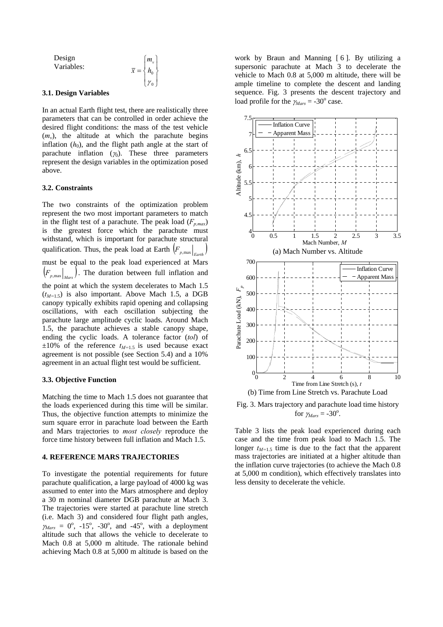Design  
Variables:  

$$
\overline{x} = \begin{cases} m_v \\ h_0 \\ \gamma_0 \end{cases}
$$

#### **3.1. Design Variables**

In an actual Earth flight test, there are realistically three parameters that can be controlled in order achieve the desired flight conditions: the mass of the test vehicle  $(m_v)$ , the altitude at which the parachute begins inflation  $(h_0)$ , and the flight path angle at the start of parachute inflation  $(\gamma_0)$ . These three parameters represent the design variables in the optimization posed above.

#### **3.2. Constraints**

The two constraints of the optimization problem represent the two most important parameters to match in the flight test of a parachute. The peak load  $(F_{p,max})$ is the greatest force which the parachute must withstand, which is important for parachute structural qualification. Thus, the peak load at Earth  $\left| F_{p,\text{max}} \right|_{E_{\text{max}}}$ must be equal to the peak load experienced at Mars  $(F_{p,\text{max}})$ . The duration between full inflation and the point at which the system decelerates to Mach 1.5  $(t_{M=1.5})$  is also important. Above Mach 1.5, a DGB canopy typically exhibits rapid opening and collapsing oscillations, with each oscillation subjecting the parachute large amplitude cyclic loads. Around Mach 1.5, the parachute achieves a stable canopy shape, ending the cyclic loads. A tolerance factor (*tol*) of  $\pm 10\%$  of the reference  $t_{M=1.5}$  is used because exact agreement is not possible (see Section [5.4](#page-6-0)) and a 10% agreement in an actual flight test would be sufficient.

#### **3.3. Objective Function**

<span id="page-4-0"></span>Matching the time to Mach 1.5 does not guarantee that the loads experienced during this time will be similar. Thus, the objective function attempts to minimize the sum square error in parachute load between the Earth and Mars trajectories to *most closely* reproduce the force time history between full inflation and Mach 1.5.

#### **4. REFERENCE MARS TRAJECTORIES**

To investigate the potential requirements for future parachute qualification, a large payload of 4000 kg was assumed to enter into the Mars atmosphere and deploy a 30 m nominal diameter DGB parachute at Mach 3. The trajectories were started at parachute line stretch (i.e. Mach 3) and considered four flight path angles,  $\gamma_{Mars} = 0^{\circ}$ , -15°, -30°, and -45°, with a deployment altitude such that allows the vehicle to decelerate to Mach 0.8 at 5,000 m altitude. The rationale behind achieving Mach 0.8 at 5,000 m altitude is based on the

work by Braun and Manning [ [6](#page-7-1) ]. By utilizing a supersonic parachute at Mach 3 to decelerate the vehicle to Mach 0.8 at 5,000 m altitude, there will be ample timeline to complete the descent and landing sequence. [Fig. 3](#page-4-0) presents the descent trajectory and load profile for the  $\gamma_{Mars} = -30^{\circ}$  case.



Fig. 3. Mars trajectory and parachute load time history for  $\gamma_{Mars} = -30^\circ$ .

[Table 3](#page-5-0) lists the peak load experienced during each case and the time from peak load to Mach 1.5. The longer  $t_{M=1.5}$  time is due to the fact that the apparent mass trajectories are initiated at a higher altitude than the inflation curve trajectories (to achieve the Mach 0.8 at 5,000 m condition), which effectively translates into less density to decelerate the vehicle.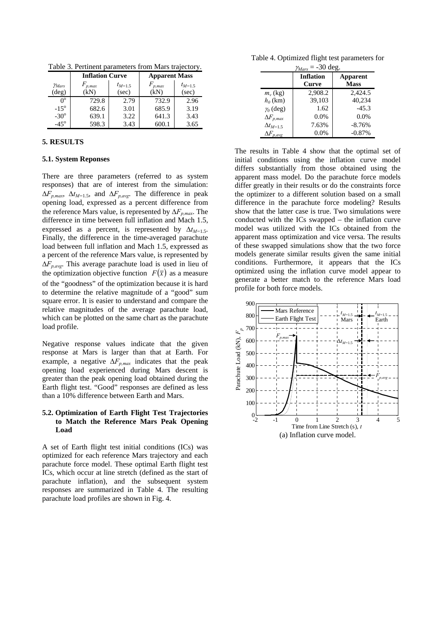<span id="page-5-1"></span><span id="page-5-0"></span>Table 3. Pertinent parameters from Mars trajectory.

|                | <b>Inflation Curve</b> |             | <b>Apparent Mass</b> |             |
|----------------|------------------------|-------------|----------------------|-------------|
| YMars          | $F_{p,max}$            | $t_{M=1.5}$ | $F_{p,max}$          | $t_{M=1.5}$ |
| $(\text{deg})$ | (kN                    | (sec)       | (kN)                 | (sec)       |
| $0^{\circ}$    | 729.8                  | 2.79        | 732.9                | 2.96        |
| $-15^{\circ}$  | 682.6                  | 3.01        | 685.9                | 3.19        |
| $-30^\circ$    | 639.1                  | 3.22        | 641.3                | 3.43        |
| $-45^\circ$    | 598.3                  | 3.43        |                      | 3.65        |

## **5. RESULTS**

## **5.1. System Reponses**

There are three parameters (referred to as system responses) that are of interest from the simulation:  $\Delta F_{p,max}$ ,  $\Delta t_{M=1.5}$ , and  $\Delta F_{p,avg}$ . The difference in peak opening load, expressed as a percent difference from the reference Mars value, is represented by  $\Delta F_{p,max}$ . The difference in time between full inflation and Mach 1.5, expressed as a percent, is represented by  $\Delta t_{M=1.5}$ . Finally, the difference in the time-averaged parachute load between full inflation and Mach 1.5, expressed as a percent of the reference Mars value, is represented by Δ*Fp,avg*. This average parachute load is used in lieu of the optimization objective function  $F(\bar{x})$  as a measure of the "goodness" of the optimization because it is hard to determine the relative magnitude of a "good" sum square error. It is easier to understand and compare the relative magnitudes of the average parachute load, which can be plotted on the same chart as the parachute load profile.

Negative response values indicate that the given response at Mars is larger than that at Earth. For example, a negative  $\Delta F_{p,max}$  indicates that the peak opening load experienced during Mars descent is greater than the peak opening load obtained during the Earth flight test. "Good" responses are defined as less than a 10% difference between Earth and Mars.

## **5.2. Optimization of Earth Flight Test Trajectories to Match the Reference Mars Peak Opening Load**

A set of Earth flight test initial conditions (ICs) was optimized for each reference Mars trajectory and each parachute force model. These optimal Earth flight test ICs, which occur at line stretch (defined as the start of parachute inflation), and the subsequent system responses are summarized in [Table 4.](#page-5-1) The resulting parachute load profiles are shown in [Fig. 4.](#page-6-1)

Table 4. Optimized flight test parameters for

| $\gamma_{Mars} = -30$ deg. |                           |                         |  |  |
|----------------------------|---------------------------|-------------------------|--|--|
|                            | <b>Inflation</b><br>Curve | Apparent<br><b>Mass</b> |  |  |
| $m_v$ (kg)                 | 2,908.2                   | 2,424.5                 |  |  |
| $h_0$ (km)                 | 39,103                    | 40.234                  |  |  |
| $\gamma_0$ (deg)           | 1.62                      | $-45.3$                 |  |  |
| $\Delta F_{p,max}$         | 0.0%                      | 0.0%                    |  |  |
| $\Delta t_{M=1}$ 5         | 7.63%                     | $-8.76%$                |  |  |
| $\Delta F_{p,avg}$         | 0.0%                      | $-0.87%$                |  |  |

The results in [Table 4](#page-5-1) show that the optimal set of initial conditions using the inflation curve model differs substantially from those obtained using the apparent mass model. Do the parachute force models differ greatly in their results or do the constraints force the optimizer to a different solution based on a small difference in the parachute force modeling? Results show that the latter case is true. Two simulations were conducted with the ICs swapped – the inflation curve model was utilized with the ICs obtained from the apparent mass optimization and vice versa. The results of these swapped simulations show that the two force models generate similar results given the same initial conditions. Furthermore, it appears that the ICs optimized using the inflation curve model appear to generate a better match to the reference Mars load profile for both force models.

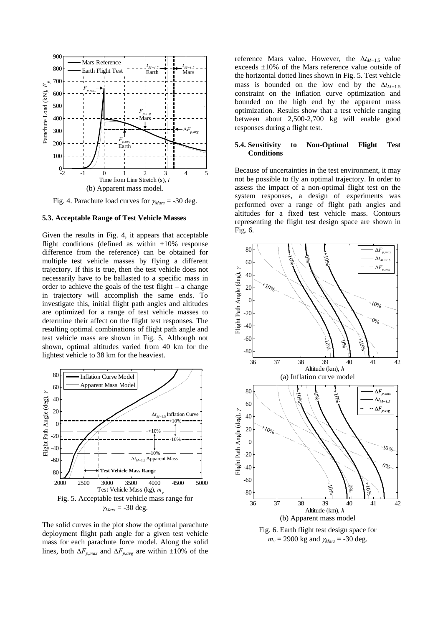

<span id="page-6-0"></span>Fig. 4. Parachute load curves for <sup>γ</sup>*Mars* = -30 deg.

#### <span id="page-6-1"></span>**5.3. Acceptable Range of Test Vehicle Masses**

Given the results in [Fig. 4,](#page-6-1) it appears that acceptable flight conditions (defined as within  $\pm 10\%$  response difference from the reference) can be obtained for multiple test vehicle masses by flying a different trajectory. If this is true, then the test vehicle does not necessarily have to be ballasted to a specific mass in order to achieve the goals of the test flight – a change in trajectory will accomplish the same ends. To investigate this, initial flight path angles and altitudes are optimized for a range of test vehicle masses to determine their affect on the flight test responses. The resulting optimal combinations of flight path angle and test vehicle mass are shown in [Fig. 5.](#page-6-2) Although not shown, optimal altitudes varied from 40 km for the lightest vehicle to 38 km for the heaviest.



<span id="page-6-3"></span><span id="page-6-2"></span>The solid curves in the plot show the optimal parachute deployment flight path angle for a given test vehicle mass for each parachute force model. Along the solid lines, both  $\Delta F_{p,max}$  and  $\Delta F_{p,ave}$  are within  $\pm 10\%$  of the

reference Mars value. However, the  $\Delta t_{M=1.5}$  value exceeds ±10% of the Mars reference value outside of the horizontal dotted lines shown in [Fig. 5.](#page-6-2) Test vehicle mass is bounded on the low end by the  $\Delta t_{M=1.5}$ constraint on the inflation curve optimization and bounded on the high end by the apparent mass optimization. Results show that a test vehicle ranging between about 2,500-2,700 kg will enable good responses during a flight test.

## **5.4. Sensitivity to Non-Optimal Flight Test Conditions**

Because of uncertainties in the test environment, it may not be possible to fly an optimal trajectory. In order to assess the impact of a non-optimal flight test on the system responses, a design of experiments was performed over a range of flight path angles and altitudes for a fixed test vehicle mass. Contours representing the flight test design space are shown in [Fig. 6](#page-6-3).



Fig. 6. Earth flight test design space for  $m_v = 2900 \text{ kg}$  and  $\gamma_{Mars} = -30 \text{ deg}$ .